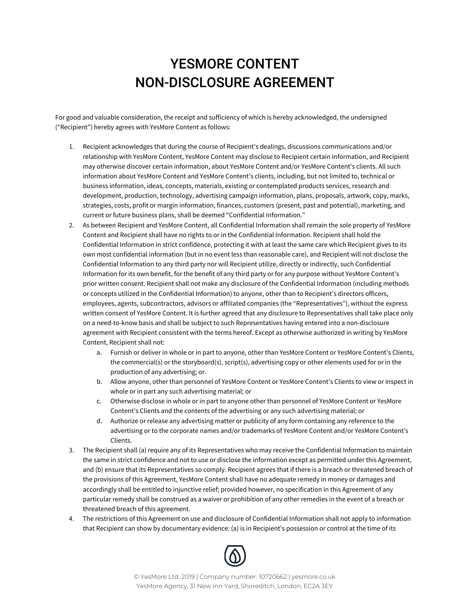## YESMORE CONTENT NON-DISCLOSURE AGREEMENT

For good and valuable consideration, the receipt and sufficiency of which is hereby acknowledged, the undersigned ("Recipient") hereby agrees with YesMore Content as follows:

- 1. Recipient acknowledges that during the course of Recipient's dealings, discussions communications and/or relationship with YesMore Content, YesMore Content may disclose to Recipient certain information, and Recipient may otherwise discover certain information, about YesMore Content and/or YesMore Content's clients. All such information about YesMore Content and YesMore Content's clients, including, but not limited to, technical or business information, ideas, concepts, materials, existing or contemplated products services, research and development, production, technology, advertising campaign information, plans, proposals, artwork, copy, marks, strategies, costs, profit or margin information, finances, customers (present, past and potential), marketing, and current or future business plans, shall be deemed "Confidential Information."
- 2. As between Recipient and YesMore Content, all Confidential Information shall remain the sole property of YesMore Content and Recipient shall have no rights to or in the Confidential Information. Recipient shall hold the Confidential Information in strict confidence, protecting it with at least the same care which Recipient gives to its own most confidential information (but in no event less than reasonable care), and Recipient will not disclose the Confidential Information to any third party nor will Recipient utilize, directly or indirectly, such Confidential Information for its own benefit, for the benefit of any third party or for any purpose without YesMore Content's prior written consent. Recipient shall not make any disclosure of the Confidential Information (including methods or concepts utilized in the Confidential Information) to anyone, other than to Recipient's directors officers, employees, agents, subcontractors, advisors or affiliated companies (the "Representatives"), without the express written consent of YesMore Content. It is further agreed that any disclosure to Representatives shall take place only on a need-to-know basis and shall be subject to such Representatives having entered into a non-disclosure agreement with Recipient consistent with the terms hereof. Except as otherwise authorized in writing by YesMore Content, Recipient shall not:
	- a. Furnish or deliver in whole or in part to anyone, other than YesMore Content or YesMore Content's Clients, the commercial(s) or the storyboard(s), script(s), advertising copy or other elements used for or in the production of any advertising; or.
	- b. Allow anyone, other than personnel of YesMore Content or YesMore Content's Clients to view or inspect in whole or in part any such advertising material; or
	- c. Otherwise disclose in whole or in part to anyone other than personnel of YesMore Content or YesMore Content's Clients and the contents of the advertising or any such advertising material; or
	- d. Authorize or release any advertising matter or publicity of any form containing any reference to the advertising or to the corporate names and/or trademarks of YesMore Content and/or YesMore Content's Clients.
- 3. The Recipient shall (a) require any of its Representatives who may receive the Confidential Information to maintain the same in strict confidence and not to use or disclose the information except as permitted under this Agreement, and (b) ensure that its Representatives so comply. Recipient agrees that if there is a breach or threatened breach of the provisions of this Agreement, YesMore Content shall have no adequate remedy in money or damages and accordingly shall be entitled to injunctive relief; provided however, no specification in this Agreement of any particular remedy shall be construed as a waiver or prohibition of any other remedies in the event of a breach or threatened breach of this agreement.
- 4. The restrictions of this Agreement on use and disclosure of Confidential Information shall not apply to information that Recipient can show by documentary evidence: (a) is in Recipient's possession or control at the time of its



© YesMore Ltd. 2019 | Company number: 10720662 | yesmore.co.uk YesMore Agency, 31 New Inn Yard, Shoreditch, London, EC2A 3EY